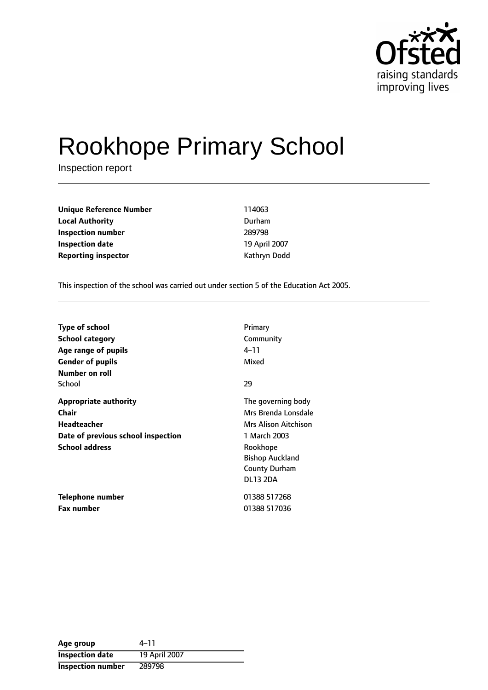

# Rookhope Primary School

Inspection report

| <b>Unique Reference Number</b> | 114063        |
|--------------------------------|---------------|
| <b>Local Authority</b>         | Durham        |
| Inspection number              | 289798        |
| Inspection date                | 19 April 2007 |
| <b>Reporting inspector</b>     | Kathryn Dodd  |

This inspection of the school was carried out under section 5 of the Education Act 2005.

| <b>Type of school</b><br>School category<br>Age range of pupils<br><b>Gender of pupils</b><br>Number on roll               | Primary<br>Community<br>4–11<br>Mixed                                                                                                                              |
|----------------------------------------------------------------------------------------------------------------------------|--------------------------------------------------------------------------------------------------------------------------------------------------------------------|
| School                                                                                                                     | 29                                                                                                                                                                 |
| <b>Appropriate authority</b><br>Chair<br><b>Headteacher</b><br>Date of previous school inspection<br><b>School address</b> | The governing body<br>Mrs Brenda Lonsdale<br>Mrs Alison Aitchison<br>1 March 2003<br>Rookhope<br><b>Bishop Auckland</b><br><b>County Durham</b><br><b>DL13 2DA</b> |
| Telephone number<br><b>Fax number</b>                                                                                      | 01388 517268<br>01388 517036                                                                                                                                       |

| Age group                | $4 - 11$      |
|--------------------------|---------------|
| <b>Inspection date</b>   | 19 April 2007 |
| <b>Inspection number</b> | 289798        |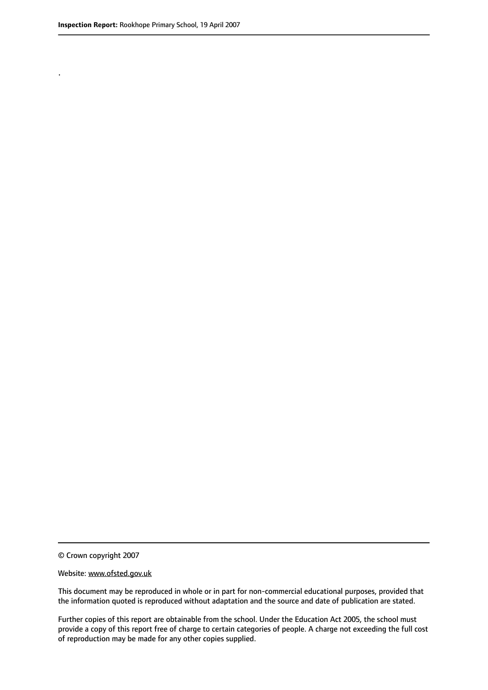.

© Crown copyright 2007

#### Website: www.ofsted.gov.uk

This document may be reproduced in whole or in part for non-commercial educational purposes, provided that the information quoted is reproduced without adaptation and the source and date of publication are stated.

Further copies of this report are obtainable from the school. Under the Education Act 2005, the school must provide a copy of this report free of charge to certain categories of people. A charge not exceeding the full cost of reproduction may be made for any other copies supplied.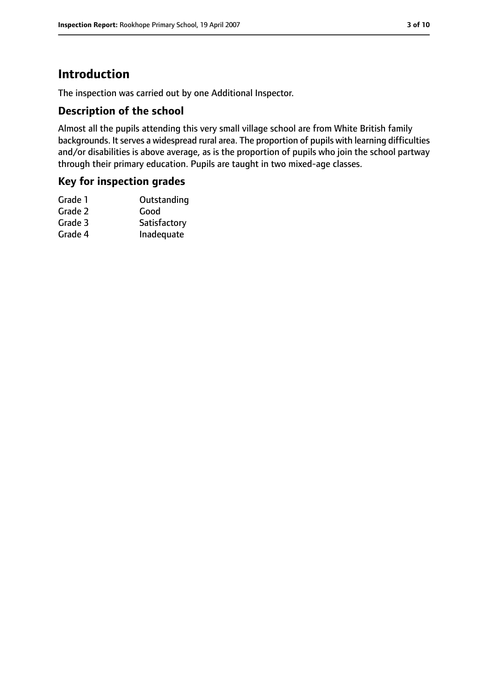# **Introduction**

The inspection was carried out by one Additional Inspector.

## **Description of the school**

Almost all the pupils attending this very small village school are from White British family backgrounds. It serves a widespread rural area. The proportion of pupils with learning difficulties and/or disabilities is above average, as is the proportion of pupils who join the school partway through their primary education. Pupils are taught in two mixed-age classes.

## **Key for inspection grades**

| Satisfactory |
|--------------|
| Inadequate   |
|              |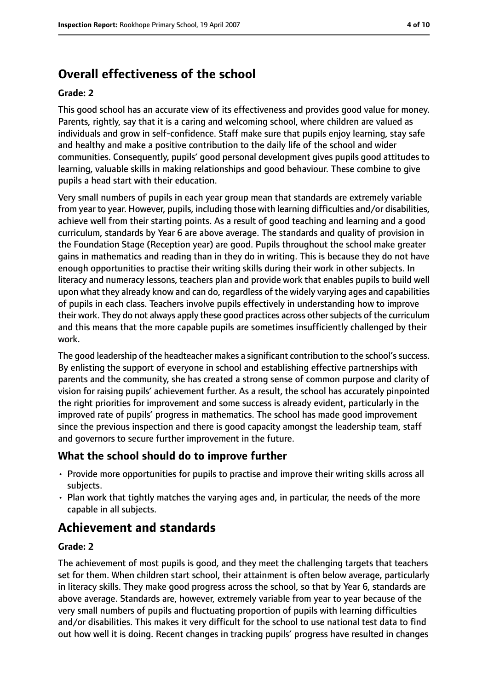# **Overall effectiveness of the school**

#### **Grade: 2**

This good school has an accurate view of its effectiveness and provides good value for money. Parents, rightly, say that it is a caring and welcoming school, where children are valued as individuals and grow in self-confidence. Staff make sure that pupils enjoy learning, stay safe and healthy and make a positive contribution to the daily life of the school and wider communities. Consequently, pupils' good personal development gives pupils good attitudes to learning, valuable skills in making relationships and good behaviour. These combine to give pupils a head start with their education.

Very small numbers of pupils in each year group mean that standards are extremely variable from year to year. However, pupils, including those with learning difficulties and/or disabilities, achieve well from their starting points. As a result of good teaching and learning and a good curriculum, standards by Year 6 are above average. The standards and quality of provision in the Foundation Stage (Reception year) are good. Pupils throughout the school make greater gains in mathematics and reading than in they do in writing. This is because they do not have enough opportunities to practise their writing skills during their work in other subjects. In literacy and numeracy lessons, teachers plan and provide work that enables pupils to build well upon what they already know and can do, regardless of the widely varying ages and capabilities of pupils in each class. Teachers involve pupils effectively in understanding how to improve their work. They do not always apply these good practices across other subjects of the curriculum and this means that the more capable pupils are sometimes insufficiently challenged by their work.

The good leadership of the headteacher makes a significant contribution to the school's success. By enlisting the support of everyone in school and establishing effective partnerships with parents and the community, she has created a strong sense of common purpose and clarity of vision for raising pupils' achievement further. As a result, the school has accurately pinpointed the right priorities for improvement and some success is already evident, particularly in the improved rate of pupils' progress in mathematics. The school has made good improvement since the previous inspection and there is good capacity amongst the leadership team, staff and governors to secure further improvement in the future.

# **What the school should do to improve further**

- Provide more opportunities for pupils to practise and improve their writing skills across all subjects.
- Plan work that tightly matches the varying ages and, in particular, the needs of the more capable in all subjects.

# **Achievement and standards**

#### **Grade: 2**

The achievement of most pupils is good, and they meet the challenging targets that teachers set for them. When children start school, their attainment is often below average, particularly in literacy skills. They make good progress across the school, so that by Year 6, standards are above average. Standards are, however, extremely variable from year to year because of the very small numbers of pupils and fluctuating proportion of pupils with learning difficulties and/or disabilities. This makes it very difficult for the school to use national test data to find out how well it is doing. Recent changes in tracking pupils' progress have resulted in changes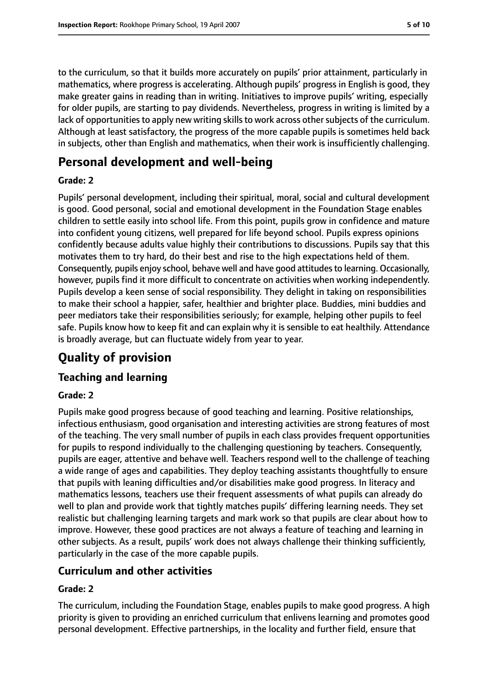to the curriculum, so that it builds more accurately on pupils' prior attainment, particularly in mathematics, where progress is accelerating. Although pupils' progress in English is good, they make greater gains in reading than in writing. Initiatives to improve pupils' writing, especially for older pupils, are starting to pay dividends. Nevertheless, progress in writing is limited by a lack of opportunities to apply new writing skills to work across other subjects of the curriculum. Although at least satisfactory, the progress of the more capable pupils is sometimes held back in subjects, other than English and mathematics, when their work is insufficiently challenging.

# **Personal development and well-being**

## **Grade: 2**

Pupils' personal development, including their spiritual, moral, social and cultural development is good. Good personal, social and emotional development in the Foundation Stage enables children to settle easily into school life. From this point, pupils grow in confidence and mature into confident young citizens, well prepared for life beyond school. Pupils express opinions confidently because adults value highly their contributions to discussions. Pupils say that this motivates them to try hard, do their best and rise to the high expectations held of them. Consequently, pupils enjoy school, behave well and have good attitudesto learning. Occasionally, however, pupils find it more difficult to concentrate on activities when working independently. Pupils develop a keen sense of social responsibility. They delight in taking on responsibilities to make their school a happier, safer, healthier and brighter place. Buddies, mini buddies and peer mediators take their responsibilities seriously; for example, helping other pupils to feel safe. Pupils know how to keep fit and can explain why it is sensible to eat healthily. Attendance is broadly average, but can fluctuate widely from year to year.

# **Quality of provision**

# **Teaching and learning**

## **Grade: 2**

Pupils make good progress because of good teaching and learning. Positive relationships, infectious enthusiasm, good organisation and interesting activities are strong features of most of the teaching. The very small number of pupils in each class provides frequent opportunities for pupils to respond individually to the challenging questioning by teachers. Consequently, pupils are eager, attentive and behave well. Teachers respond well to the challenge of teaching a wide range of ages and capabilities. They deploy teaching assistants thoughtfully to ensure that pupils with leaning difficulties and/or disabilities make good progress. In literacy and mathematics lessons, teachers use their frequent assessments of what pupils can already do well to plan and provide work that tightly matches pupils' differing learning needs. They set realistic but challenging learning targets and mark work so that pupils are clear about how to improve. However, these good practices are not always a feature of teaching and learning in other subjects. As a result, pupils' work does not always challenge their thinking sufficiently, particularly in the case of the more capable pupils.

# **Curriculum and other activities**

## **Grade: 2**

The curriculum, including the Foundation Stage, enables pupils to make good progress. A high priority is given to providing an enriched curriculum that enlivens learning and promotes good personal development. Effective partnerships, in the locality and further field, ensure that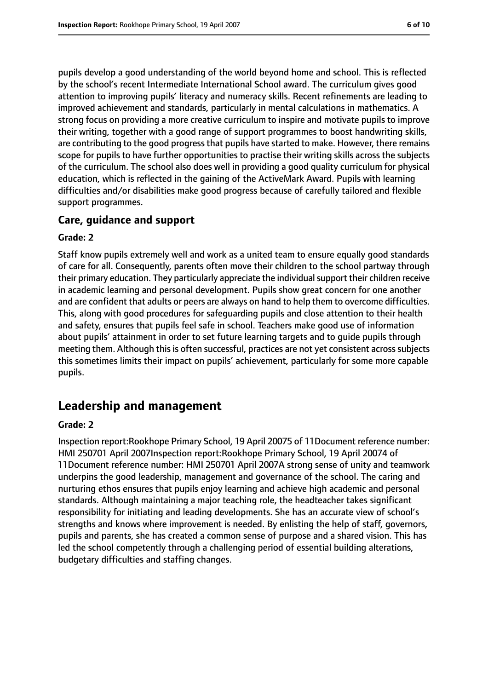pupils develop a good understanding of the world beyond home and school. This is reflected by the school's recent Intermediate International School award. The curriculum gives good attention to improving pupils' literacy and numeracy skills. Recent refinements are leading to improved achievement and standards, particularly in mental calculations in mathematics. A strong focus on providing a more creative curriculum to inspire and motivate pupils to improve their writing, together with a good range of support programmes to boost handwriting skills, are contributing to the good progress that pupils have started to make. However, there remains scope for pupils to have further opportunities to practise their writing skills across the subjects of the curriculum. The school also does well in providing a good quality curriculum for physical education, which is reflected in the gaining of the ActiveMark Award. Pupils with learning difficulties and/or disabilities make good progress because of carefully tailored and flexible support programmes.

#### **Care, guidance and support**

#### **Grade: 2**

Staff know pupils extremely well and work as a united team to ensure equally good standards of care for all. Consequently, parents often move their children to the school partway through their primary education. They particularly appreciate the individual support their children receive in academic learning and personal development. Pupils show great concern for one another and are confident that adults or peers are always on hand to help them to overcome difficulties. This, along with good procedures for safeguarding pupils and close attention to their health and safety, ensures that pupils feel safe in school. Teachers make good use of information about pupils' attainment in order to set future learning targets and to guide pupils through meeting them. Although this is often successful, practices are not yet consistent across subjects this sometimes limits their impact on pupils' achievement, particularly for some more capable pupils.

# **Leadership and management**

#### **Grade: 2**

Inspection report:Rookhope Primary School, 19 April 20075 of 11Document reference number: HMI 250701 April 2007Inspection report:Rookhope Primary School, 19 April 20074 of 11Document reference number: HMI 250701 April 2007A strong sense of unity and teamwork underpins the good leadership, management and governance of the school. The caring and nurturing ethos ensures that pupils enjoy learning and achieve high academic and personal standards. Although maintaining a major teaching role, the headteacher takes significant responsibility for initiating and leading developments. She has an accurate view of school's strengths and knows where improvement is needed. By enlisting the help of staff, governors, pupils and parents, she has created a common sense of purpose and a shared vision. This has led the school competently through a challenging period of essential building alterations, budgetary difficulties and staffing changes.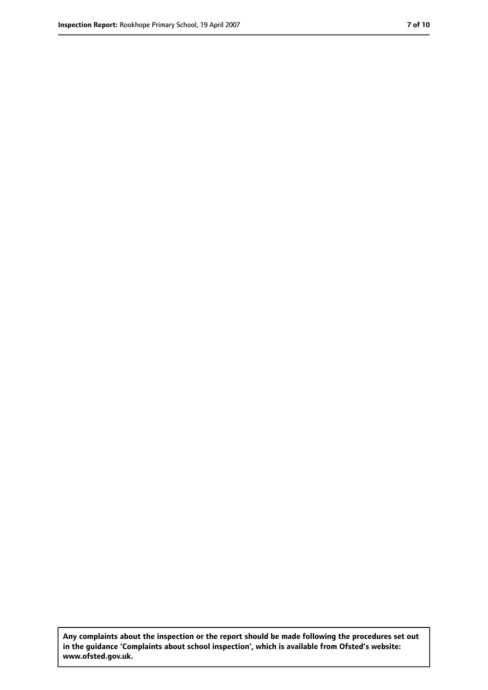**Any complaints about the inspection or the report should be made following the procedures set out in the guidance 'Complaints about school inspection', which is available from Ofsted's website: www.ofsted.gov.uk.**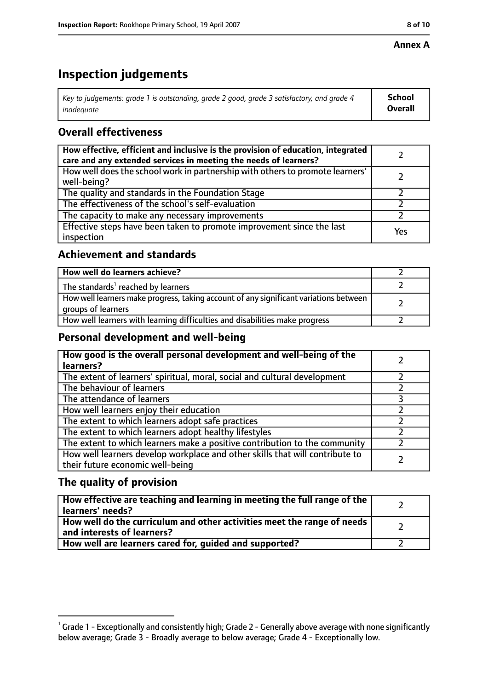#### **Annex A**

# **Inspection judgements**

| Key to judgements: grade 1 is outstanding, grade 2 good, grade 3 satisfactory, and grade 4 | <b>School</b>  |
|--------------------------------------------------------------------------------------------|----------------|
| inadeauate                                                                                 | <b>Overall</b> |

# **Overall effectiveness**

| How effective, efficient and inclusive is the provision of education, integrated<br>care and any extended services in meeting the needs of learners? |     |
|------------------------------------------------------------------------------------------------------------------------------------------------------|-----|
| How well does the school work in partnership with others to promote learners'<br>well-being?                                                         |     |
| The quality and standards in the Foundation Stage                                                                                                    |     |
| The effectiveness of the school's self-evaluation                                                                                                    |     |
| The capacity to make any necessary improvements                                                                                                      |     |
| Effective steps have been taken to promote improvement since the last<br>inspection                                                                  | Yes |

# **Achievement and standards**

| How well do learners achieve?                                                                               |  |
|-------------------------------------------------------------------------------------------------------------|--|
| The standards <sup>1</sup> reached by learners                                                              |  |
| How well learners make progress, taking account of any significant variations between<br>groups of learners |  |
| How well learners with learning difficulties and disabilities make progress                                 |  |

# **Personal development and well-being**

| How good is the overall personal development and well-being of the<br>learners?                                  |  |
|------------------------------------------------------------------------------------------------------------------|--|
| The extent of learners' spiritual, moral, social and cultural development                                        |  |
| The behaviour of learners                                                                                        |  |
| The attendance of learners                                                                                       |  |
| How well learners enjoy their education                                                                          |  |
| The extent to which learners adopt safe practices                                                                |  |
| The extent to which learners adopt healthy lifestyles                                                            |  |
| The extent to which learners make a positive contribution to the community                                       |  |
| How well learners develop workplace and other skills that will contribute to<br>their future economic well-being |  |

# **The quality of provision**

| How effective are teaching and learning in meeting the full range of the<br>learners' needs?          |  |
|-------------------------------------------------------------------------------------------------------|--|
| How well do the curriculum and other activities meet the range of needs<br>and interests of learners? |  |
| How well are learners cared for, guided and supported?                                                |  |

 $^1$  Grade 1 - Exceptionally and consistently high; Grade 2 - Generally above average with none significantly below average; Grade 3 - Broadly average to below average; Grade 4 - Exceptionally low.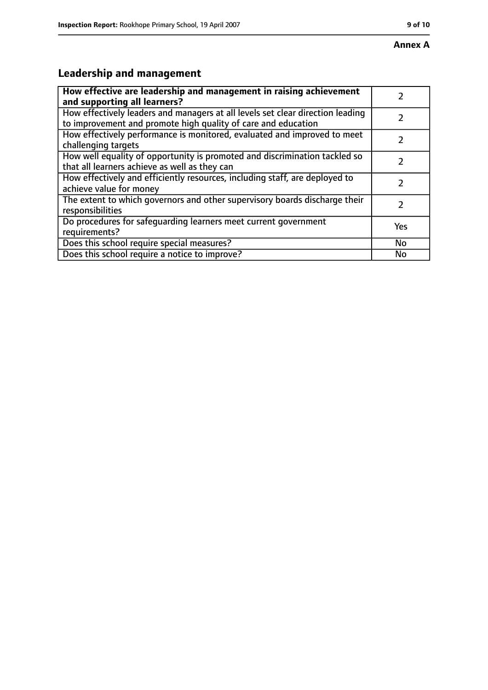# **Leadership and management**

| How effective are leadership and management in raising achievement                                                                              |               |
|-------------------------------------------------------------------------------------------------------------------------------------------------|---------------|
| and supporting all learners?                                                                                                                    |               |
| How effectively leaders and managers at all levels set clear direction leading<br>to improvement and promote high quality of care and education |               |
| How effectively performance is monitored, evaluated and improved to meet<br>challenging targets                                                 |               |
| How well equality of opportunity is promoted and discrimination tackled so<br>that all learners achieve as well as they can                     |               |
| How effectively and efficiently resources, including staff, are deployed to<br>achieve value for money                                          | 7             |
| The extent to which governors and other supervisory boards discharge their<br>responsibilities                                                  | $\mathcal{L}$ |
| Do procedures for safequarding learners meet current government<br>requirements?                                                                | Yes           |
| Does this school require special measures?                                                                                                      | No            |
| Does this school require a notice to improve?                                                                                                   | No            |